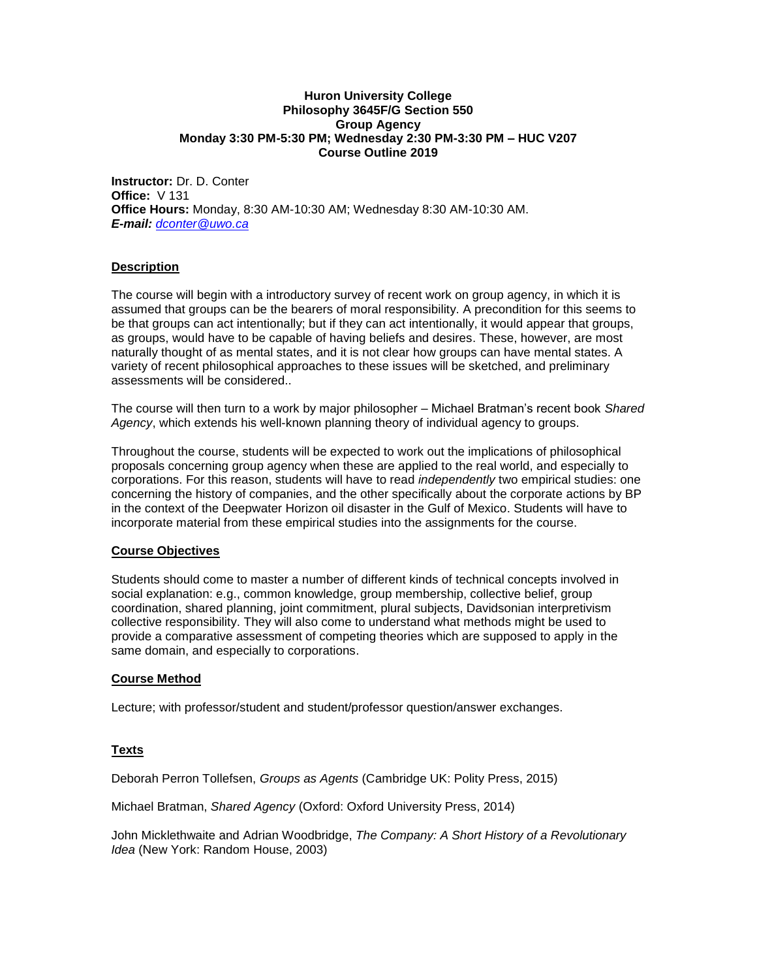#### **Huron University College Philosophy 3645F/G Section 550 Group Agency Monday 3:30 PM-5:30 PM; Wednesday 2:30 PM-3:30 PM – HUC V207 Course Outline 2019**

**Instructor:** Dr. D. Conter **Office:** V 131 **Office Hours:** Monday, 8:30 AM-10:30 AM; Wednesday 8:30 AM-10:30 AM. *E-mail: [dconter@uwo.ca](mailto:dconter@uwo.ca)*

# **Description**

The course will begin with a introductory survey of recent work on group agency, in which it is assumed that groups can be the bearers of moral responsibility. A precondition for this seems to be that groups can act intentionally; but if they can act intentionally, it would appear that groups, as groups, would have to be capable of having beliefs and desires. These, however, are most naturally thought of as mental states, and it is not clear how groups can have mental states. A variety of recent philosophical approaches to these issues will be sketched, and preliminary assessments will be considered..

The course will then turn to a work by major philosopher – Michael Bratman's recent book *Shared Agency*, which extends his well-known planning theory of individual agency to groups.

Throughout the course, students will be expected to work out the implications of philosophical proposals concerning group agency when these are applied to the real world, and especially to corporations. For this reason, students will have to read *independently* two empirical studies: one concerning the history of companies, and the other specifically about the corporate actions by BP in the context of the Deepwater Horizon oil disaster in the Gulf of Mexico. Students will have to incorporate material from these empirical studies into the assignments for the course.

# **Course Objectives**

Students should come to master a number of different kinds of technical concepts involved in social explanation: e.g., common knowledge, group membership, collective belief, group coordination, shared planning, joint commitment, plural subjects, Davidsonian interpretivism collective responsibility. They will also come to understand what methods might be used to provide a comparative assessment of competing theories which are supposed to apply in the same domain, and especially to corporations.

# **Course Method**

Lecture; with professor/student and student/professor question/answer exchanges.

# **Texts**

Deborah Perron Tollefsen, *Groups as Agents* (Cambridge UK: Polity Press, 2015)

Michael Bratman, *Shared Agency* (Oxford: Oxford University Press, 2014)

John Micklethwaite and Adrian Woodbridge, *The Company: A Short History of a Revolutionary Idea* (New York: Random House, 2003)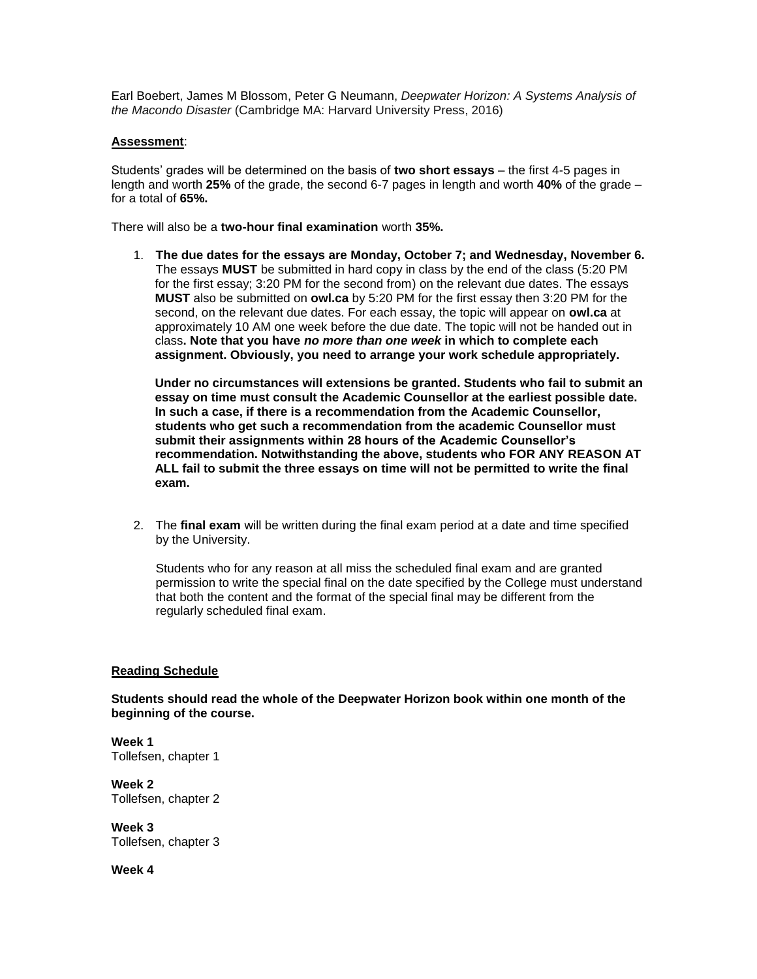[Earl Boebert,](https://www.amazon.ca/s/ref=dp_byline_sr_book_1?ie=UTF8&field-author=Earl+Boebert&search-alias=books-ca) James M Blossom, Peter G Neumann, *Deepwater Horizon: A Systems Analysis of the Macondo Disaster* (Cambridge MA: Harvard University Press, 2016)

# **Assessment**:

Students' grades will be determined on the basis of **two short essays** – the first 4-5 pages in length and worth **25%** of the grade, the second 6-7 pages in length and worth **40%** of the grade – for a total of **65%.**

There will also be a **two-hour final examination** worth **35%.**

1. **The due dates for the essays are Monday, October 7; and Wednesday, November 6.** The essays **MUST** be submitted in hard copy in class by the end of the class (5:20 PM for the first essay; 3:20 PM for the second from) on the relevant due dates. The essays **MUST** also be submitted on **owl.ca** by 5:20 PM for the first essay then 3:20 PM for the second, on the relevant due dates. For each essay, the topic will appear on **owl.ca** at approximately 10 AM one week before the due date. The topic will not be handed out in class**. Note that you have** *no more than one week* **in which to complete each assignment. Obviously, you need to arrange your work schedule appropriately.**

**Under no circumstances will extensions be granted. Students who fail to submit an essay on time must consult the Academic Counsellor at the earliest possible date. In such a case, if there is a recommendation from the Academic Counsellor, students who get such a recommendation from the academic Counsellor must submit their assignments within 28 hours of the Academic Counsellor's recommendation. Notwithstanding the above, students who FOR ANY REASON AT ALL fail to submit the three essays on time will not be permitted to write the final exam.**

2. The **final exam** will be written during the final exam period at a date and time specified by the University.

Students who for any reason at all miss the scheduled final exam and are granted permission to write the special final on the date specified by the College must understand that both the content and the format of the special final may be different from the regularly scheduled final exam.

# **Reading Schedule**

**Students should read the whole of the Deepwater Horizon book within one month of the beginning of the course.**

**Week 1** Tollefsen, chapter 1

**Week 2** Tollefsen, chapter 2

**Week 3** Tollefsen, chapter 3

**Week 4**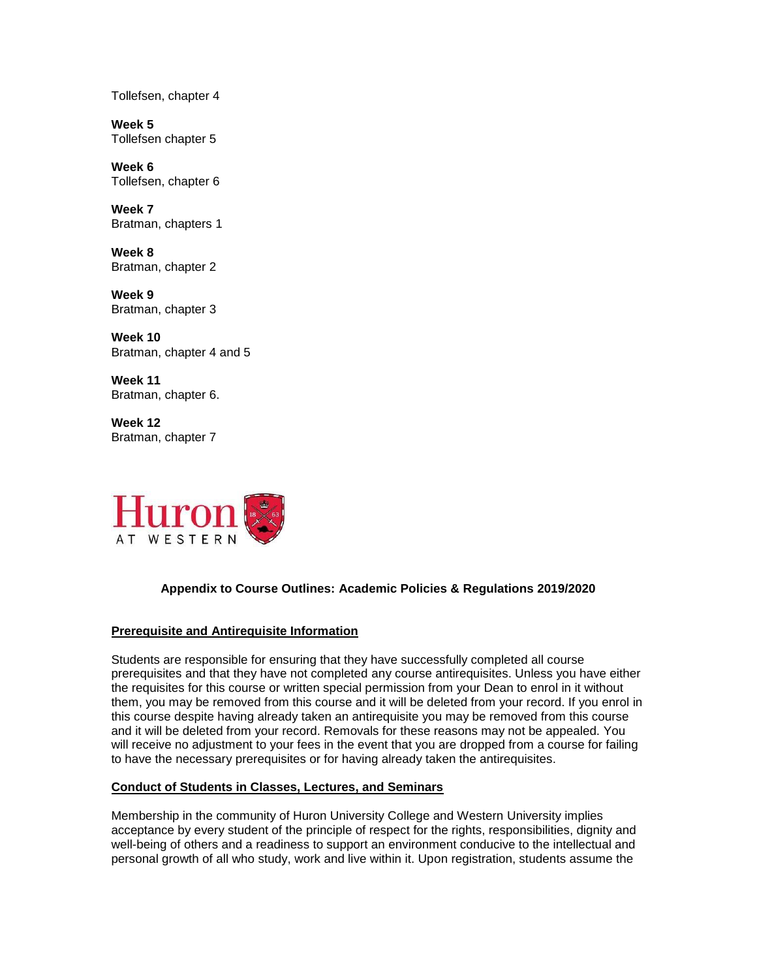Tollefsen, chapter 4

**Week 5** Tollefsen chapter 5

**Week 6** Tollefsen, chapter 6

**Week 7** Bratman, chapters 1

**Week 8** Bratman, chapter 2

**Week 9** Bratman, chapter 3

**Week 10** Bratman, chapter 4 and 5

**Week 11** Bratman, chapter 6.

**Week 12** Bratman, chapter 7



# **Appendix to Course Outlines: Academic Policies & Regulations 2019/2020**

# **Prerequisite and Antirequisite Information**

Students are responsible for ensuring that they have successfully completed all course prerequisites and that they have not completed any course antirequisites. Unless you have either the requisites for this course or written special permission from your Dean to enrol in it without them, you may be removed from this course and it will be deleted from your record. If you enrol in this course despite having already taken an antirequisite you may be removed from this course and it will be deleted from your record. Removals for these reasons may not be appealed. You will receive no adjustment to your fees in the event that you are dropped from a course for failing to have the necessary prerequisites or for having already taken the antirequisites.

# **Conduct of Students in Classes, Lectures, and Seminars**

Membership in the community of Huron University College and Western University implies acceptance by every student of the principle of respect for the rights, responsibilities, dignity and well-being of others and a readiness to support an environment conducive to the intellectual and personal growth of all who study, work and live within it. Upon registration, students assume the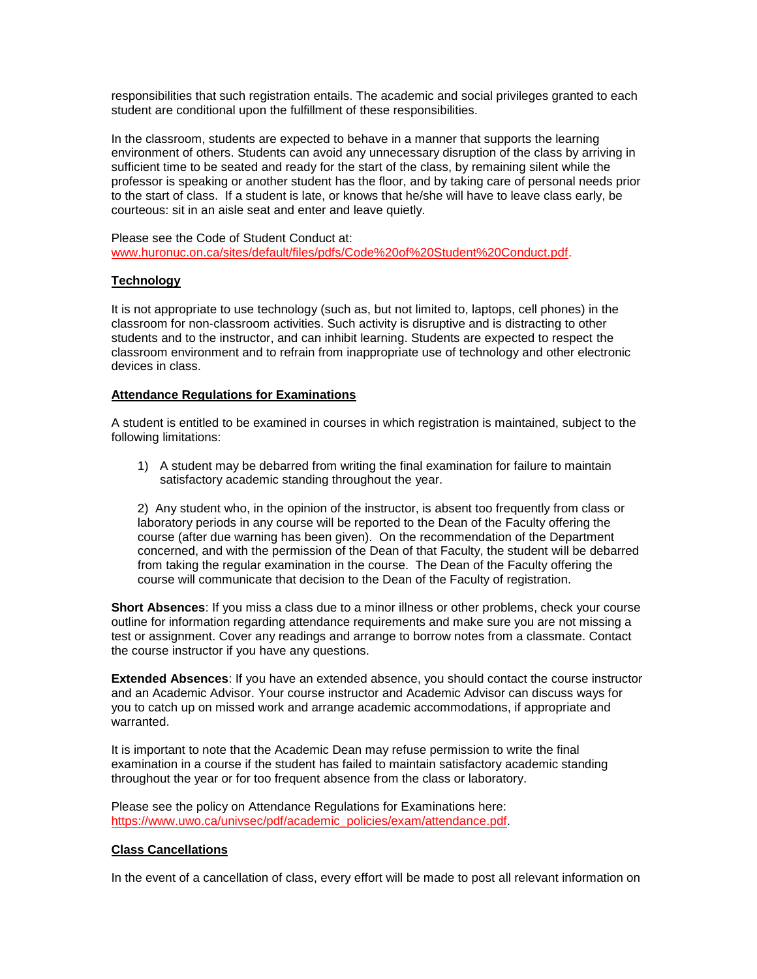responsibilities that such registration entails. The academic and social privileges granted to each student are conditional upon the fulfillment of these responsibilities.

In the classroom, students are expected to behave in a manner that supports the learning environment of others. Students can avoid any unnecessary disruption of the class by arriving in sufficient time to be seated and ready for the start of the class, by remaining silent while the professor is speaking or another student has the floor, and by taking care of personal needs prior to the start of class. If a student is late, or knows that he/she will have to leave class early, be courteous: sit in an aisle seat and enter and leave quietly.

Please see the Code of Student Conduct at: [www.huronuc.on.ca/sites/default/files/pdfs/Code%20of%20Student%20Conduct.pdf.](http://www.huronuc.on.ca/sites/default/files/pdfs/Code%20of%20Student%20Conduct.pdf)

# **Technology**

It is not appropriate to use technology (such as, but not limited to, laptops, cell phones) in the classroom for non-classroom activities. Such activity is disruptive and is distracting to other students and to the instructor, and can inhibit learning. Students are expected to respect the classroom environment and to refrain from inappropriate use of technology and other electronic devices in class.

# **Attendance Regulations for Examinations**

A student is entitled to be examined in courses in which registration is maintained, subject to the following limitations:

1) A student may be debarred from writing the final examination for failure to maintain satisfactory academic standing throughout the year.

2) Any student who, in the opinion of the instructor, is absent too frequently from class or laboratory periods in any course will be reported to the Dean of the Faculty offering the course (after due warning has been given). On the recommendation of the Department concerned, and with the permission of the Dean of that Faculty, the student will be debarred from taking the regular examination in the course. The Dean of the Faculty offering the course will communicate that decision to the Dean of the Faculty of registration.

**Short Absences**: If you miss a class due to a minor illness or other problems, check your course outline for information regarding attendance requirements and make sure you are not missing a test or assignment. Cover any readings and arrange to borrow notes from a classmate. Contact the course instructor if you have any questions.

**Extended Absences**: If you have an extended absence, you should contact the course instructor and an Academic Advisor. Your course instructor and Academic Advisor can discuss ways for you to catch up on missed work and arrange academic accommodations, if appropriate and warranted.

It is important to note that the Academic Dean may refuse permission to write the final examination in a course if the student has failed to maintain satisfactory academic standing throughout the year or for too frequent absence from the class or laboratory.

Please see the policy on Attendance Regulations for Examinations here: [https://www.uwo.ca/univsec/pdf/academic\\_policies/exam/attendance.pdf.](https://www.uwo.ca/univsec/pdf/academic_policies/exam/attendance.pdf)

# **Class Cancellations**

In the event of a cancellation of class, every effort will be made to post all relevant information on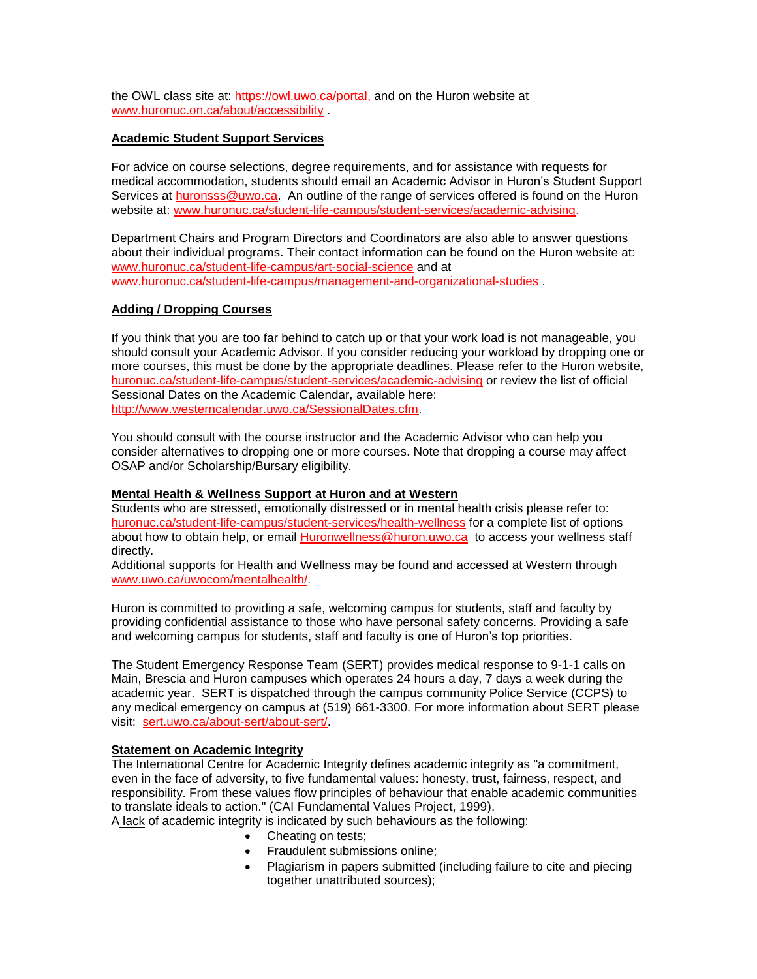the OWL class site at: [https://owl.uwo.ca/portal,](https://owl.uwo.ca/portal) and on the Huron website at [www.huronuc.on.ca/about/accessibility](http://www.huronuc.on.ca/about/accessibility) .

# **Academic Student Support Services**

For advice on course selections, degree requirements, and for assistance with requests for medical accommodation, students should email an Academic Advisor in Huron's Student Support Services at [huronsss@uwo.ca.](mailto:huronsss@uwo.ca) An outline of the range of services offered is found on the Huron website at: [www.huronuc.ca/student-life-campus/student-services/academic-advising.](http://www.huronuc.ca/student-life-campus/student-services/academic-advising)

Department Chairs and Program Directors and Coordinators are also able to answer questions about their individual programs. Their contact information can be found on the Huron website at: [www.huronuc.ca/student-life-campus/art-social-science](http://www.huronuc.ca/student-life-campus/art-social-science) and at [www.huronuc.ca/student-life-campus/management-and-organizational-studies](http://www.huronuc.ca/student-life-campus/management-and-organizational-studies) .

# **Adding / Dropping Courses**

If you think that you are too far behind to catch up or that your work load is not manageable, you should consult your Academic Advisor. If you consider reducing your workload by dropping one or more courses, this must be done by the appropriate deadlines. Please refer to the Huron website, [huronuc.ca/student-life-campus/student-services/academic-advising](https://huronuc.ca/student-life-campus/student-services/academic-advising) or review the list of official Sessional Dates on the Academic Calendar, available here: [http://www.westerncalendar.uwo.ca/SessionalDates.cfm.](http://www.westerncalendar.uwo.ca/SessionalDates.cfm)

You should consult with the course instructor and the Academic Advisor who can help you consider alternatives to dropping one or more courses. Note that dropping a course may affect OSAP and/or Scholarship/Bursary eligibility.

# **Mental Health & Wellness Support at Huron and at Western**

Students who are stressed, emotionally distressed or in mental health crisis please refer to: [huronuc.ca/student-life-campus/student-services/health-wellness](https://huronuc.ca/student-life-campus/student-services/health-wellness) for a complete list of options about how to obtain help, or email [Huronwellness@huron.uwo.ca](mailto:Huronwellness@huron.uwo.ca) to access your wellness staff directly.

Additional supports for Health and Wellness may be found and accessed at Western through [www.uwo.ca/uwocom/mentalhealth/.](http://www.uwo.ca/uwocom/mentalhealth/)

Huron is committed to providing a safe, welcoming campus for students, staff and faculty by providing confidential assistance to those who have personal safety concerns. Providing a safe and welcoming campus for students, staff and faculty is one of Huron's top priorities.

The Student Emergency Response Team (SERT) provides medical response to 9-1-1 calls on Main, Brescia and Huron campuses which operates 24 hours a day, 7 days a week during the academic year. SERT is dispatched through the campus community Police Service (CCPS) to any medical emergency on campus at (519) 661-3300. For more information about SERT please visit: [sert.uwo.ca/about-sert/about-sert/.](https://sert.uwo.ca/about-sert/about-sert/)

# **Statement on Academic Integrity**

The International Centre for Academic Integrity defines academic integrity as "a commitment, even in the face of adversity, to five fundamental values: honesty, trust, fairness, respect, and responsibility. From these values flow principles of behaviour that enable academic communities to translate ideals to action." (CAI Fundamental Values Project, 1999).

A lack of academic integrity is indicated by such behaviours as the following:

- Cheating on tests;
- Fraudulent submissions online;
- Plagiarism in papers submitted (including failure to cite and piecing together unattributed sources);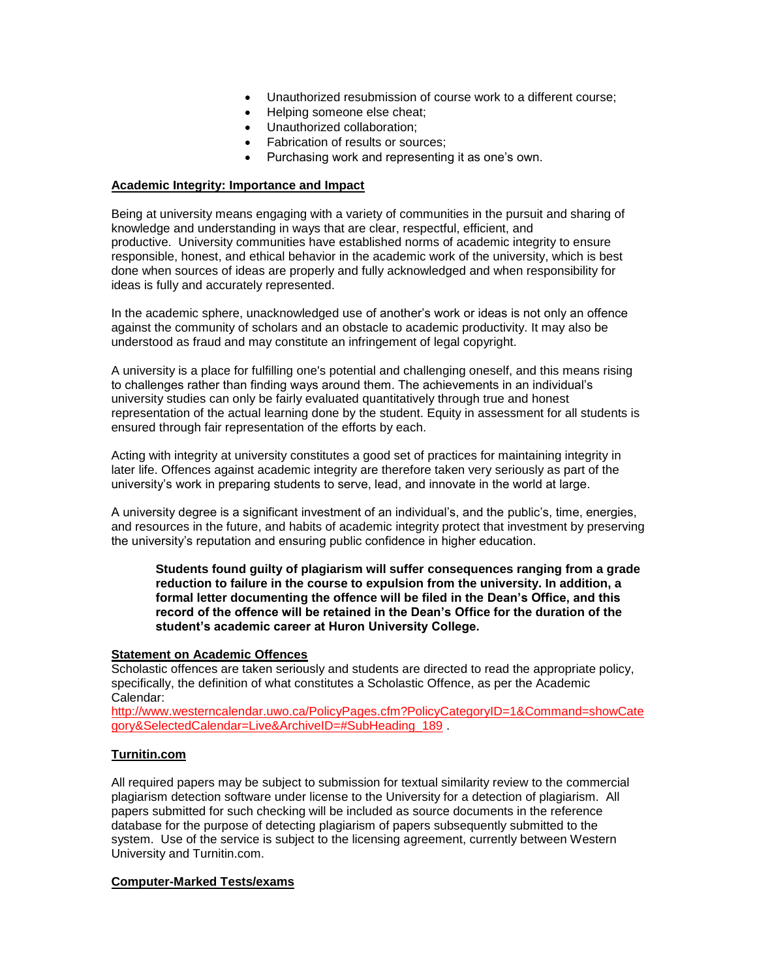- Unauthorized resubmission of course work to a different course;
- Helping someone else cheat;
- Unauthorized collaboration;
- Fabrication of results or sources;
- Purchasing work and representing it as one's own.

#### **Academic Integrity: Importance and Impact**

Being at university means engaging with a variety of communities in the pursuit and sharing of knowledge and understanding in ways that are clear, respectful, efficient, and productive. University communities have established norms of academic integrity to ensure responsible, honest, and ethical behavior in the academic work of the university, which is best done when sources of ideas are properly and fully acknowledged and when responsibility for ideas is fully and accurately represented.

In the academic sphere, unacknowledged use of another's work or ideas is not only an offence against the community of scholars and an obstacle to academic productivity. It may also be understood as fraud and may constitute an infringement of legal copyright.

A university is a place for fulfilling one's potential and challenging oneself, and this means rising to challenges rather than finding ways around them. The achievements in an individual's university studies can only be fairly evaluated quantitatively through true and honest representation of the actual learning done by the student. Equity in assessment for all students is ensured through fair representation of the efforts by each.

Acting with integrity at university constitutes a good set of practices for maintaining integrity in later life. Offences against academic integrity are therefore taken very seriously as part of the university's work in preparing students to serve, lead, and innovate in the world at large.

A university degree is a significant investment of an individual's, and the public's, time, energies, and resources in the future, and habits of academic integrity protect that investment by preserving the university's reputation and ensuring public confidence in higher education.

**Students found guilty of plagiarism will suffer consequences ranging from a grade reduction to failure in the course to expulsion from the university. In addition, a formal letter documenting the offence will be filed in the Dean's Office, and this record of the offence will be retained in the Dean's Office for the duration of the student's academic career at Huron University College.**

#### **Statement on Academic Offences**

Scholastic offences are taken seriously and students are directed to read the appropriate policy, specifically, the definition of what constitutes a Scholastic Offence, as per the Academic Calendar:

[http://www.westerncalendar.uwo.ca/PolicyPages.cfm?PolicyCategoryID=1&Command=showCate](http://www.westerncalendar.uwo.ca/PolicyPages.cfm?PolicyCategoryID=1&Command=showCategory&SelectedCalendar=Live&ArchiveID=#SubHeading_189) [gory&SelectedCalendar=Live&ArchiveID=#SubHeading\\_189](http://www.westerncalendar.uwo.ca/PolicyPages.cfm?PolicyCategoryID=1&Command=showCategory&SelectedCalendar=Live&ArchiveID=#SubHeading_189)

# **Turnitin.com**

All required papers may be subject to submission for textual similarity review to the commercial plagiarism detection software under license to the University for a detection of plagiarism. All papers submitted for such checking will be included as source documents in the reference database for the purpose of detecting plagiarism of papers subsequently submitted to the system. Use of the service is subject to the licensing agreement, currently between Western University and Turnitin.com.

#### **Computer-Marked Tests/exams**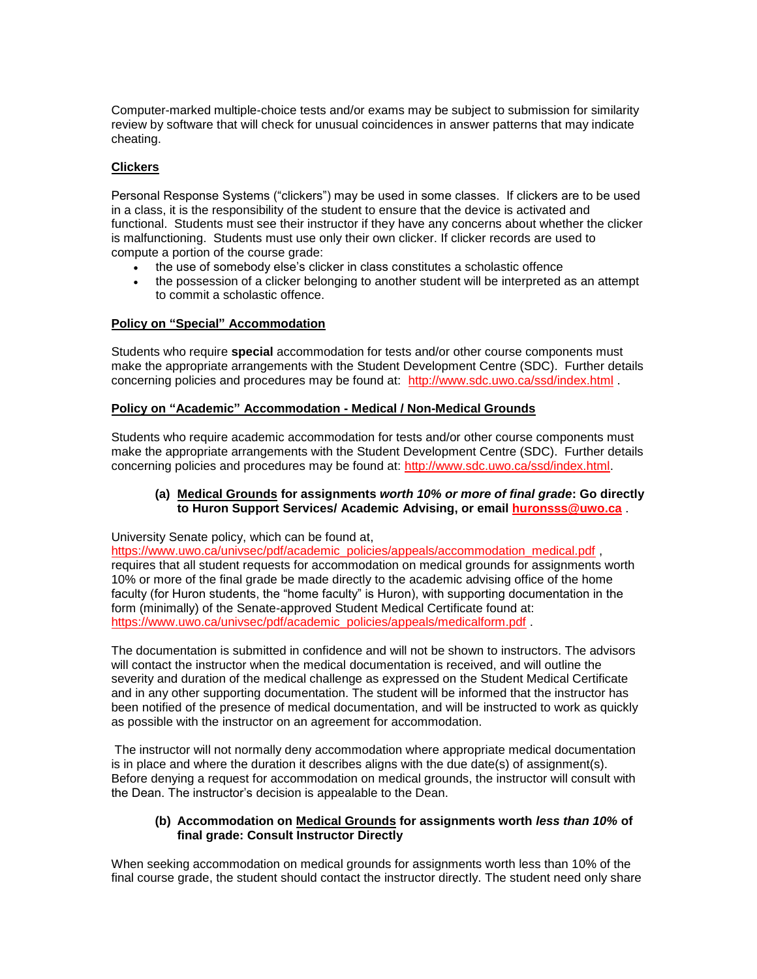Computer-marked multiple-choice tests and/or exams may be subject to submission for similarity review by software that will check for unusual coincidences in answer patterns that may indicate cheating.

# **Clickers**

Personal Response Systems ("clickers") may be used in some classes. If clickers are to be used in a class, it is the responsibility of the student to ensure that the device is activated and functional. Students must see their instructor if they have any concerns about whether the clicker is malfunctioning. Students must use only their own clicker. If clicker records are used to compute a portion of the course grade:

- the use of somebody else's clicker in class constitutes a scholastic offence
- the possession of a clicker belonging to another student will be interpreted as an attempt to commit a scholastic offence.

# **Policy on "Special" Accommodation**

Students who require **special** accommodation for tests and/or other course components must make the appropriate arrangements with the Student Development Centre (SDC). Further details concerning policies and procedures may be found at: <http://www.sdc.uwo.ca/ssd/index.html> .

# **Policy on "Academic" Accommodation - Medical / Non-Medical Grounds**

Students who require academic accommodation for tests and/or other course components must make the appropriate arrangements with the Student Development Centre (SDC). Further details concerning policies and procedures may be found at: [http://www.sdc.uwo.ca/ssd/index.html.](http://www.sdc.uwo.ca/ssd/index.html)

# **(a) Medical Grounds for assignments** *worth 10% or more of final grade***: Go directly to Huron Support Services/ Academic Advising, or email [huronsss@uwo.ca](mailto:huronsss@uwo.ca)** .

University Senate policy, which can be found at,

[https://www.uwo.ca/univsec/pdf/academic\\_policies/appeals/accommodation\\_medical.pdf](https://www.uwo.ca/univsec/pdf/academic_policies/appeals/accommodation_medical.pdf) , requires that all student requests for accommodation on medical grounds for assignments worth 10% or more of the final grade be made directly to the academic advising office of the home faculty (for Huron students, the "home faculty" is Huron), with supporting documentation in the form (minimally) of the Senate-approved Student Medical Certificate found at: [https://www.uwo.ca/univsec/pdf/academic\\_policies/appeals/medicalform.pdf](https://www.uwo.ca/univsec/pdf/academic_policies/appeals/medicalform.pdf) .

The documentation is submitted in confidence and will not be shown to instructors. The advisors will contact the instructor when the medical documentation is received, and will outline the severity and duration of the medical challenge as expressed on the Student Medical Certificate and in any other supporting documentation. The student will be informed that the instructor has been notified of the presence of medical documentation, and will be instructed to work as quickly as possible with the instructor on an agreement for accommodation.

The instructor will not normally deny accommodation where appropriate medical documentation is in place and where the duration it describes aligns with the due date(s) of assignment(s). Before denying a request for accommodation on medical grounds, the instructor will consult with the Dean. The instructor's decision is appealable to the Dean.

# **(b) Accommodation on Medical Grounds for assignments worth** *less than 10%* **of final grade: Consult Instructor Directly**

When seeking accommodation on medical grounds for assignments worth less than 10% of the final course grade, the student should contact the instructor directly. The student need only share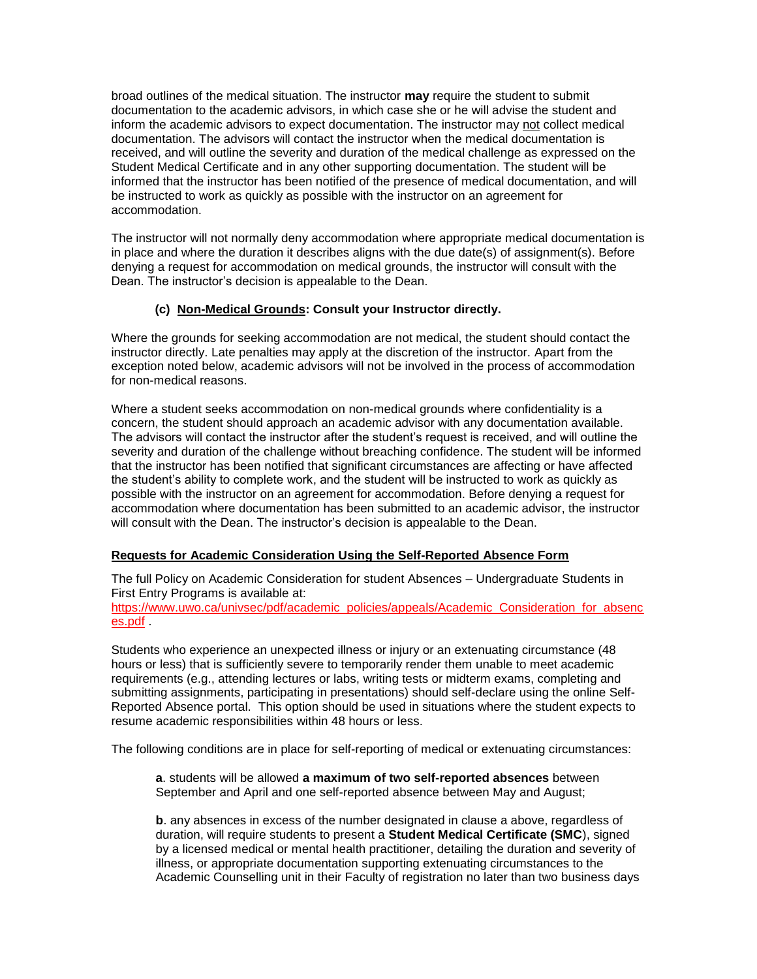broad outlines of the medical situation. The instructor **may** require the student to submit documentation to the academic advisors, in which case she or he will advise the student and inform the academic advisors to expect documentation. The instructor may not collect medical documentation. The advisors will contact the instructor when the medical documentation is received, and will outline the severity and duration of the medical challenge as expressed on the Student Medical Certificate and in any other supporting documentation. The student will be informed that the instructor has been notified of the presence of medical documentation, and will be instructed to work as quickly as possible with the instructor on an agreement for accommodation.

The instructor will not normally deny accommodation where appropriate medical documentation is in place and where the duration it describes aligns with the due date(s) of assignment(s). Before denying a request for accommodation on medical grounds, the instructor will consult with the Dean. The instructor's decision is appealable to the Dean.

# **(c) Non-Medical Grounds: Consult your Instructor directly.**

Where the grounds for seeking accommodation are not medical, the student should contact the instructor directly. Late penalties may apply at the discretion of the instructor. Apart from the exception noted below, academic advisors will not be involved in the process of accommodation for non-medical reasons.

Where a student seeks accommodation on non-medical grounds where confidentiality is a concern, the student should approach an academic advisor with any documentation available. The advisors will contact the instructor after the student's request is received, and will outline the severity and duration of the challenge without breaching confidence. The student will be informed that the instructor has been notified that significant circumstances are affecting or have affected the student's ability to complete work, and the student will be instructed to work as quickly as possible with the instructor on an agreement for accommodation. Before denying a request for accommodation where documentation has been submitted to an academic advisor, the instructor will consult with the Dean. The instructor's decision is appealable to the Dean.

# **Requests for Academic Consideration Using the Self-Reported Absence Form**

The full Policy on Academic Consideration for student Absences – Undergraduate Students in First Entry Programs is available at:

[https://www.uwo.ca/univsec/pdf/academic\\_policies/appeals/Academic\\_Consideration\\_for\\_absenc](https://www.uwo.ca/univsec/pdf/academic_policies/appeals/Academic_Consideration_for_absences.pdf) [es.pdf](https://www.uwo.ca/univsec/pdf/academic_policies/appeals/Academic_Consideration_for_absences.pdf) .

Students who experience an unexpected illness or injury or an extenuating circumstance (48 hours or less) that is sufficiently severe to temporarily render them unable to meet academic requirements (e.g., attending lectures or labs, writing tests or midterm exams, completing and submitting assignments, participating in presentations) should self-declare using the online Self-Reported Absence portal. This option should be used in situations where the student expects to resume academic responsibilities within 48 hours or less.

The following conditions are in place for self-reporting of medical or extenuating circumstances:

**a**. students will be allowed **a maximum of two self-reported absences** between September and April and one self-reported absence between May and August;

**b**. any absences in excess of the number designated in clause a above, regardless of duration, will require students to present a **Student Medical Certificate (SMC**), signed by a licensed medical or mental health practitioner, detailing the duration and severity of illness, or appropriate documentation supporting extenuating circumstances to the Academic Counselling unit in their Faculty of registration no later than two business days